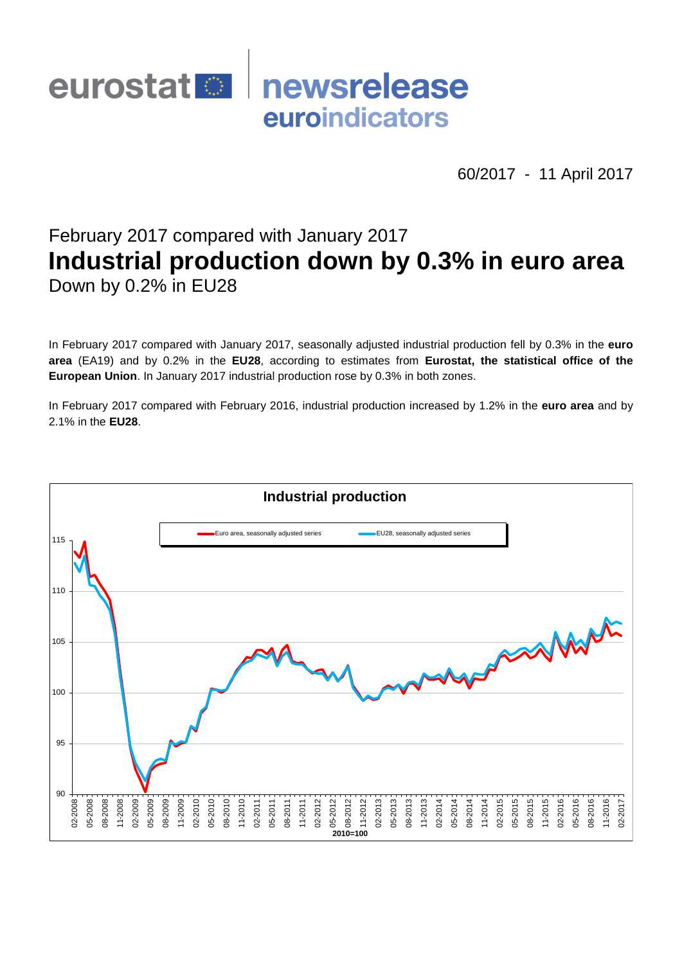# newsrelease eurostat<sup>1</sup> euroindicators

60/2017 - 11 April 2017

# February 2017 compared with January 2017 **Industrial production down by 0.3% in euro area** Down by 0.2% in EU28

In February 2017 compared with January 2017, seasonally adjusted industrial production fell by 0.3% in the **euro area** (EA19) and by 0.2% in the **EU28**, according to estimates from **Eurostat, the statistical office of the European Union**. In January 2017 industrial production rose by 0.3% in both zones.

In February 2017 compared with February 2016, industrial production increased by 1.2% in the **euro area** and by 2.1% in the **EU28**.

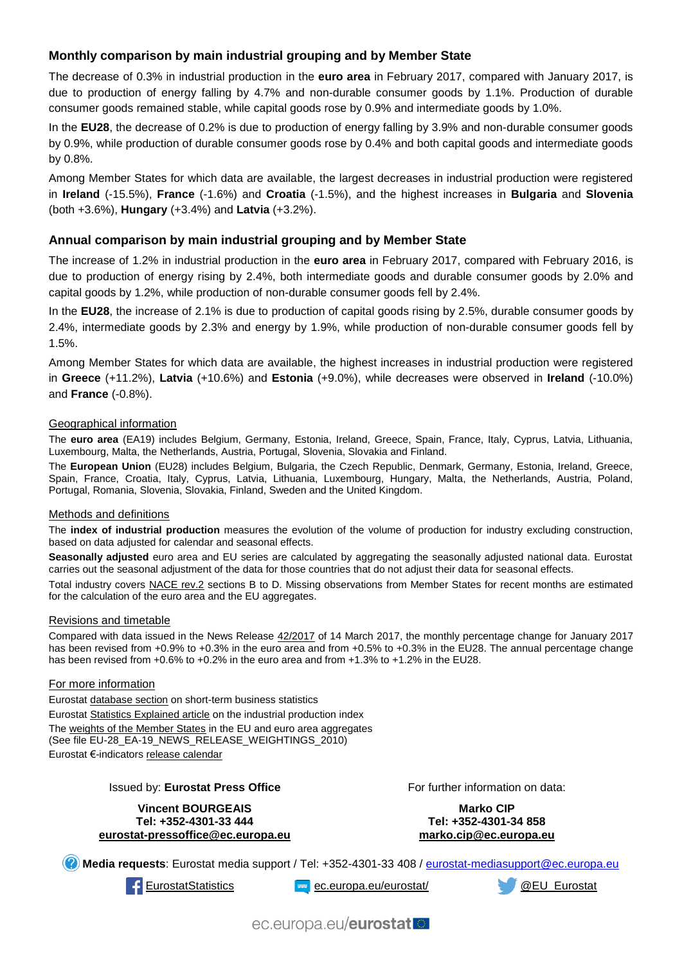## **Monthly comparison by main industrial grouping and by Member State**

The decrease of 0.3% in industrial production in the **euro area** in February 2017, compared with January 2017, is due to production of energy falling by 4.7% and non-durable consumer goods by 1.1%. Production of durable consumer goods remained stable, while capital goods rose by 0.9% and intermediate goods by 1.0%.

In the **EU28**, the decrease of 0.2% is due to production of energy falling by 3.9% and non-durable consumer goods by 0.9%, while production of durable consumer goods rose by 0.4% and both capital goods and intermediate goods by 0.8%.

Among Member States for which data are available, the largest decreases in industrial production were registered in **Ireland** (-15.5%), **France** (-1.6%) and **Croatia** (-1.5%), and the highest increases in **Bulgaria** and **Slovenia**  (both +3.6%), **Hungary** (+3.4%) and **Latvia** (+3.2%).

### **Annual comparison by main industrial grouping and by Member State**

The increase of 1.2% in industrial production in the **euro area** in February 2017, compared with February 2016, is due to production of energy rising by 2.4%, both intermediate goods and durable consumer goods by 2.0% and capital goods by 1.2%, while production of non-durable consumer goods fell by 2.4%.

In the **EU28**, the increase of 2.1% is due to production of capital goods rising by 2.5%, durable consumer goods by 2.4%, intermediate goods by 2.3% and energy by 1.9%, while production of non-durable consumer goods fell by 1.5%.

Among Member States for which data are available, the highest increases in industrial production were registered in **Greece** (+11.2%), **Latvia** (+10.6%) and **Estonia** (+9.0%), while decreases were observed in **Ireland** (-10.0%) and **France** (-0.8%).

#### Geographical information

The **euro area** (EA19) includes Belgium, Germany, Estonia, Ireland, Greece, Spain, France, Italy, Cyprus, Latvia, Lithuania, Luxembourg, Malta, the Netherlands, Austria, Portugal, Slovenia, Slovakia and Finland.

The **European Union** (EU28) includes Belgium, Bulgaria, the Czech Republic, Denmark, Germany, Estonia, Ireland, Greece, Spain, France, Croatia, Italy, Cyprus, Latvia, Lithuania, Luxembourg, Hungary, Malta, the Netherlands, Austria, Poland, Portugal, Romania, Slovenia, Slovakia, Finland, Sweden and the United Kingdom.

#### Methods and definitions

The **index of industrial production** measures the evolution of the volume of production for industry excluding construction, based on data adjusted for calendar and seasonal effects.

**Seasonally adjusted** euro area and EU series are calculated by aggregating the seasonally adjusted national data. Eurostat carries out the seasonal adjustment of the data for those countries that do not adjust their data for seasonal effects.

Total industry covers [NACE rev.2](http://ec.europa.eu/eurostat/ramon/nomenclatures/index.cfm?TargetUrl=LST_NOM_DTL&StrNom=NACE_REV2&StrLanguageCode=EN&IntPcKey=&StrLayoutCode=HIERARCHIC) sections B to D. Missing observations from Member States for recent months are estimated for the calculation of the euro area and the EU aggregates.

#### Revisions and timetable

Compared with data issued in the News Release [42/2017](http://ec.europa.eu/eurostat/documents/2995521/7905964/4-14032017-AP-EN.pdf/1af6bea4-62cc-4479-8e25-33686bc43caa) of 14 March 2017, the monthly percentage change for January 2017 has been revised from +0.9% to +0.3% in the euro area and from +0.5% to +0.3% in the EU28. The annual percentage change has been revised from +0.6% to +0.2% in the euro area and from +1.3% to +1.2% in the EU28.

#### For more information

Eurosta[t database section](http://ec.europa.eu/eurostat/web/short-term-business-statistics/data/database) on short-term business statistics Eurosta[t Statistics Explained article](http://ec.europa.eu/eurostat/statistics-explained/index.php/Industrial_production_(volume)_index_overview) on the industrial production index Th[e weights of the Member States](https://circabc.europa.eu/w/browse/5e6d1e48-056c-4c6a-8278-3ab138bcf575) in the EU and euro area aggregates (See file EU-28\_EA-19\_NEWS\_RELEASE\_WEIGHTINGS\_2010) Eurostat €-indicator[s release calendar](http://ec.europa.eu/eurostat/news/release-calendar)

#### Issued by: **Eurostat Press Office**

#### **Vincent BOURGEAIS Tel: +352-4301-33 444 [eurostat-pressoffice@ec.europa.eu](mailto:eurostat-pressoffice@ec.europa.eu)**

For further information on data:

**Marko CIP Tel: +352-4301-34 858 [marko.cip@ec.europa.eu](mailto:marko.cip@ec.europa.eu)**

**Media requests**: Eurostat media support / Tel: +352-4301-33 408 / [eurostat-mediasupport@ec.europa.eu](mailto:eurostat-mediasupport@ec.europa.eu)

**Example 2** [EurostatStatistics](http://www.facebook.com/EurostatStatistics) **EXAMPLE 2009** [ec.europa.eu/eurostat/](http://ec.europa.eu/eurostat/) **EXAMPLE 2009** [@EU\\_Eurostat](http://twitter.com/EU_Eurostat)

ec.europa.eu/eurostat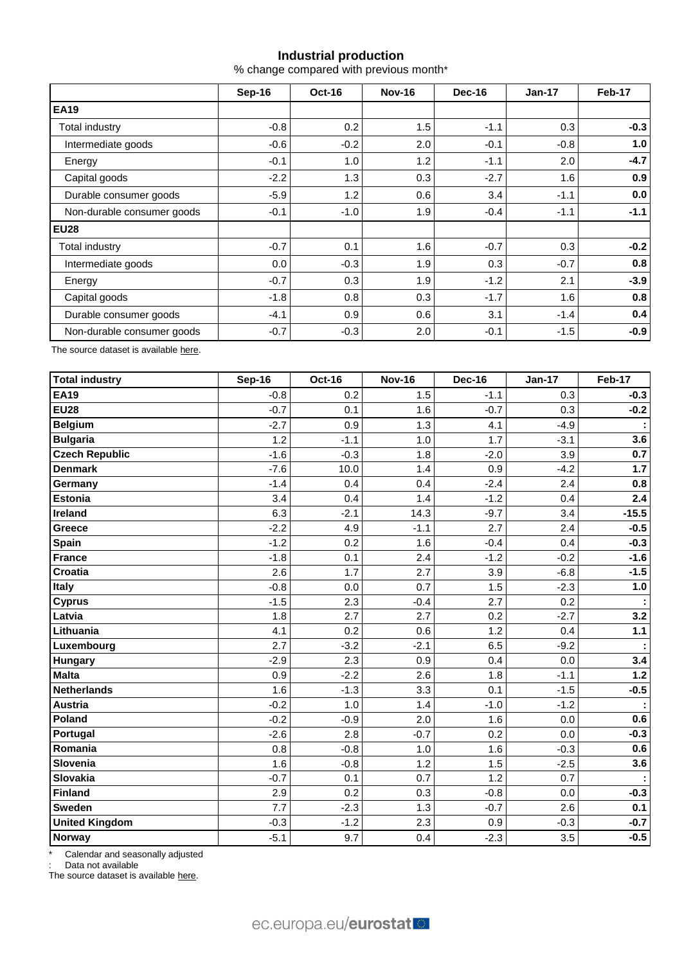## **Industrial production**

% change compared with previous month\*

|                            | Sep-16 | <b>Oct-16</b> | <b>Nov-16</b> | <b>Dec-16</b> | $Jan-17$ | Feb-17 |  |
|----------------------------|--------|---------------|---------------|---------------|----------|--------|--|
| <b>EA19</b>                |        |               |               |               |          |        |  |
| Total industry             | $-0.8$ | 0.2           | 1.5           | $-1.1$        | 0.3      | $-0.3$ |  |
| Intermediate goods         | $-0.6$ | $-0.2$        | 2.0           | $-0.1$        | $-0.8$   | 1.0    |  |
| Energy                     | $-0.1$ | 1.0           | 1.2           | $-1.1$        | 2.0      | $-4.7$ |  |
| Capital goods              | $-2.2$ | 1.3           | 0.3           | $-2.7$        | 1.6      | 0.9    |  |
| Durable consumer goods     | $-5.9$ | 1.2           | 0.6           | 3.4           | $-1.1$   | 0.0    |  |
| Non-durable consumer goods | $-0.1$ | $-1.0$        | 1.9           | $-0.4$        | $-1.1$   | $-1.1$ |  |
| <b>EU28</b>                |        |               |               |               |          |        |  |
| Total industry             | $-0.7$ | 0.1           | 1.6           | $-0.7$        | 0.3      | $-0.2$ |  |
| Intermediate goods         | 0.0    | $-0.3$        | 1.9           | 0.3           | $-0.7$   | 0.8    |  |
| Energy                     | $-0.7$ | 0.3           | 1.9           | $-1.2$        | 2.1      | $-3.9$ |  |
| Capital goods              | $-1.8$ | 0.8           | 0.3           | $-1.7$        | 1.6      | 0.8    |  |
| Durable consumer goods     | $-4.1$ | 0.9           | 0.6           | 3.1           | $-1.4$   | 0.4    |  |
| Non-durable consumer goods | $-0.7$ | $-0.3$        | 2.0           | $-0.1$        | $-1.5$   | $-0.9$ |  |

The source dataset is availabl[e here.](http://appsso.eurostat.ec.europa.eu/nui/show.do?query=BOOKMARK_DS-069583_QID_-53045BCF_UID_-3F171EB0&layout=TIME,C,X,0;GEO,L,Y,0;NACE_R2,L,Y,1;INDIC_BT,L,Z,0;S_ADJ,L,Z,1;UNIT,L,Z,2;INDICATORS,C,Z,3;&zSelection=DS-069583UNIT,PCH_PRE;DS-069583S_ADJ,SCA;DS-069583INDIC_BT,PROD;DS-069583INDICATORS,OBS_FLAG;&rankName1=UNIT_1_2_-1_2&rankName2=INDIC-BT_1_2_-1_2&rankName3=INDICATORS_1_2_-1_2&rankName4=S-ADJ_1_2_-1_2&rankName5=TIME_1_0_0_0&rankName6=GEO_1_0_0_1&rankName7=NACE-R2_1_2_1_1&sortR=ASC_-1_FIRST&sortC=ASC_-1_FIRST&rStp=&cStp=&rDCh=&cDCh=&rDM=true&cDM=true&footnes=false&empty=false&wai=false&time_mode=ROLLING&time_most_recent=true&lang=EN&cfo=%23%23%23%2C%23%23%23.%23%23%23)

| <b>Total industry</b> | Sep-16 | <b>Oct-16</b> | <b>Nov-16</b> | <b>Dec-16</b> | <b>Jan-17</b> | Feb-17  |
|-----------------------|--------|---------------|---------------|---------------|---------------|---------|
| <b>EA19</b>           | $-0.8$ | 0.2           | 1.5           | $-1.1$        | 0.3           | $-0.3$  |
| <b>EU28</b>           | $-0.7$ | 0.1           | 1.6           | $-0.7$        | 0.3           | $-0.2$  |
| <b>Belgium</b>        | $-2.7$ | 0.9           | 1.3           | 4.1           | $-4.9$        | ÷.      |
| <b>Bulgaria</b>       | 1.2    | $-1.1$        | 1.0           | 1.7           | $-3.1$        | 3.6     |
| <b>Czech Republic</b> | $-1.6$ | $-0.3$        | 1.8           | $-2.0$        | 3.9           | 0.7     |
| <b>Denmark</b>        | $-7.6$ | 10.0          | 1.4           | 0.9           | $-4.2$        | 1.7     |
| Germany               | $-1.4$ | 0.4           | 0.4           | $-2.4$        | 2.4           | 0.8     |
| <b>Estonia</b>        | 3.4    | 0.4           | 1.4           | $-1.2$        | 0.4           | 2.4     |
| Ireland               | 6.3    | $-2.1$        | 14.3          | $-9.7$        | 3.4           | $-15.5$ |
| Greece                | $-2.2$ | 4.9           | $-1.1$        | 2.7           | 2.4           | $-0.5$  |
| Spain                 | $-1.2$ | 0.2           | 1.6           | $-0.4$        | 0.4           | $-0.3$  |
| <b>France</b>         | $-1.8$ | 0.1           | 2.4           | $-1.2$        | $-0.2$        | $-1.6$  |
| Croatia               | 2.6    | 1.7           | 2.7           | 3.9           | $-6.8$        | $-1.5$  |
| <b>Italy</b>          | $-0.8$ | 0.0           | 0.7           | 1.5           | $-2.3$        | 1.0     |
| <b>Cyprus</b>         | $-1.5$ | 2.3           | $-0.4$        | 2.7           | 0.2           | ÷       |
| Latvia                | 1.8    | 2.7           | 2.7           | 0.2           | $-2.7$        | 3.2     |
| Lithuania             | 4.1    | 0.2           | 0.6           | 1.2           | 0.4           | $1.1$   |
| Luxembourg            | 2.7    | $-3.2$        | $-2.1$        | 6.5           | $-9.2$        |         |
| Hungary               | $-2.9$ | 2.3           | 0.9           | 0.4           | 0.0           | 3.4     |
| <b>Malta</b>          | 0.9    | $-2.2$        | 2.6           | 1.8           | $-1.1$        | $1.2$   |
| <b>Netherlands</b>    | 1.6    | $-1.3$        | 3.3           | 0.1           | $-1.5$        | $-0.5$  |
| <b>Austria</b>        | $-0.2$ | 1.0           | 1.4           | $-1.0$        | $-1.2$        | ÷       |
| Poland                | $-0.2$ | $-0.9$        | 2.0           | 1.6           | 0.0           | 0.6     |
| Portugal              | $-2.6$ | 2.8           | $-0.7$        | 0.2           | 0.0           | $-0.3$  |
| Romania               | 0.8    | $-0.8$        | 1.0           | 1.6           | $-0.3$        | 0.6     |
| Slovenia              | 1.6    | $-0.8$        | 1.2           | 1.5           | $-2.5$        | 3.6     |
| <b>Slovakia</b>       | $-0.7$ | 0.1           | 0.7           | 1.2           | 0.7           |         |
| <b>Finland</b>        | 2.9    | 0.2           | 0.3           | $-0.8$        | 0.0           | $-0.3$  |
| <b>Sweden</b>         | 7.7    | $-2.3$        | 1.3           | $-0.7$        | 2.6           | 0.1     |
| <b>United Kingdom</b> | $-0.3$ | $-1.2$        | 2.3           | 0.9           | $-0.3$        | $-0.7$  |
| Norway                | $-5.1$ | 9.7           | 0.4           | $-2.3$        | 3.5           | $-0.5$  |

Calendar and seasonally adjusted

: Data not available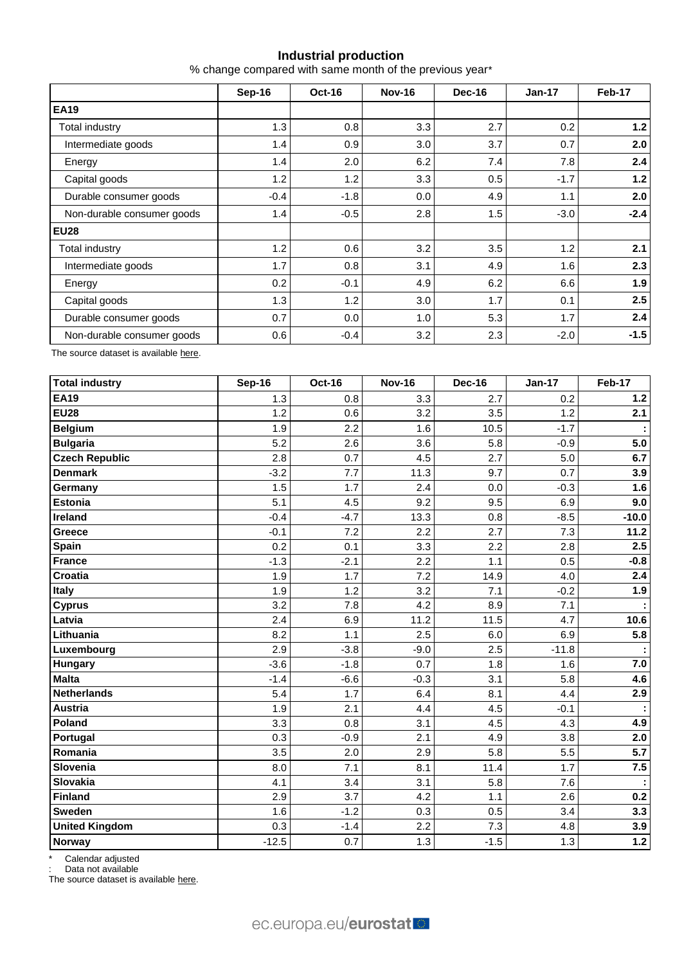## **Industrial production**

% change compared with same month of the previous year\*

|                            | Sep-16 | Oct-16 | <b>Nov-16</b>    | Dec-16 | $Jan-17$ | Feb-17 |  |
|----------------------------|--------|--------|------------------|--------|----------|--------|--|
| <b>EA19</b>                |        |        |                  |        |          |        |  |
| Total industry             | 1.3    | 0.8    | 3.3 <sub>2</sub> | 2.7    | 0.2      | $1.2$  |  |
| Intermediate goods         | 1.4    | 0.9    | 3.0              | 3.7    | 0.7      | 2.0    |  |
| Energy                     | 1.4    | 2.0    | 6.2              | 7.4    | 7.8      | 2.4    |  |
| Capital goods              | 1.2    | 1.2    | 3.3              | 0.5    | $-1.7$   | $1.2$  |  |
| Durable consumer goods     | $-0.4$ | $-1.8$ | 0.0              | 4.9    | 1.1      | 2.0    |  |
| Non-durable consumer goods | 1.4    | $-0.5$ | 2.8              | 1.5    | $-3.0$   | $-2.4$ |  |
| <b>EU28</b>                |        |        |                  |        |          |        |  |
| Total industry             | 1.2    | 0.6    | 3.2              | 3.5    | 1.2      | 2.1    |  |
| Intermediate goods         | 1.7    | 0.8    | 3.1              | 4.9    | 1.6      | 2.3    |  |
| Energy                     | 0.2    | $-0.1$ | 4.9              | 6.2    | 6.6      | 1.9    |  |
| Capital goods              | 1.3    | 1.2    | 3.0 <sub>2</sub> | 1.7    | 0.1      | 2.5    |  |
| Durable consumer goods     | 0.7    | 0.0    | 1.0              | 5.3    | 1.7      | 2.4    |  |
| Non-durable consumer goods | 0.6    | $-0.4$ | 3.2              | 2.3    | $-2.0$   | $-1.5$ |  |

The source dataset is availabl[e here.](http://appsso.eurostat.ec.europa.eu/nui/show.do?query=BOOKMARK_DS-069583_QID_-628F3FF0_UID_-3F171EB0&layout=TIME,C,X,0;GEO,L,Y,0;NACE_R2,L,Y,1;INDIC_BT,L,Z,0;S_ADJ,L,Z,1;UNIT,L,Z,2;INDICATORS,C,Z,3;&zSelection=DS-069583UNIT,PCH_PRE;DS-069583S_ADJ,SCA;DS-069583INDIC_BT,PROD;DS-069583INDICATORS,OBS_FLAG;&rankName1=UNIT_1_2_-1_2&rankName2=INDIC-BT_1_2_-1_2&rankName3=INDICATORS_1_2_-1_2&rankName4=S-ADJ_1_2_-1_2&rankName5=TIME_1_0_0_0&rankName6=GEO_1_0_0_1&rankName7=NACE-R2_1_2_1_1&sortR=ASC_-1_FIRST&sortC=ASC_-1_FIRST&rStp=&cStp=&rDCh=&cDCh=&rDM=true&cDM=true&footnes=false&empty=false&wai=false&time_mode=ROLLING&time_most_recent=true&lang=EN&cfo=%23%23%23%2C%23%23%23.%23%23%23)

| <b>Total industry</b> | <b>Sep-16</b> | <b>Oct-16</b> | <b>Nov-16</b> | <b>Dec-16</b> | <b>Jan-17</b> | <b>Feb-17</b>    |
|-----------------------|---------------|---------------|---------------|---------------|---------------|------------------|
| <b>EA19</b>           | 1.3           | 0.8           | 3.3           | 2.7           | 0.2           | $1.2$            |
| <b>EU28</b>           | 1.2           | 0.6           | 3.2           | 3.5           | 1.2           | 2.1              |
| <b>Belgium</b>        | 1.9           | 2.2           | 1.6           | 10.5          | $-1.7$        |                  |
| <b>Bulgaria</b>       | 5.2           | 2.6           | 3.6           | 5.8           | $-0.9$        | 5.0              |
| <b>Czech Republic</b> | 2.8           | 0.7           | 4.5           | 2.7           | 5.0           | 6.7              |
| <b>Denmark</b>        | $-3.2$        | 7.7           | 11.3          | 9.7           | 0.7           | 3.9              |
| Germany               | 1.5           | 1.7           | 2.4           | 0.0           | $-0.3$        | 1.6              |
| <b>Estonia</b>        | 5.1           | 4.5           | 9.2           | 9.5           | 6.9           | 9.0              |
| <b>Ireland</b>        | $-0.4$        | $-4.7$        | 13.3          | 0.8           | $-8.5$        | $-10.0$          |
| Greece                | $-0.1$        | 7.2           | 2.2           | 2.7           | 7.3           | 11.2             |
| Spain                 | 0.2           | 0.1           | 3.3           | 2.2           | 2.8           | 2.5              |
| <b>France</b>         | $-1.3$        | $-2.1$        | 2.2           | 1.1           | 0.5           | $-0.8$           |
| Croatia               | 1.9           | 1.7           | 7.2           | 14.9          | 4.0           | 2.4              |
| <b>Italy</b>          | 1.9           | 1.2           | 3.2           | 7.1           | $-0.2$        | 1.9              |
| <b>Cyprus</b>         | 3.2           | 7.8           | 4.2           | 8.9           | 7.1           |                  |
| Latvia                | 2.4           | 6.9           | 11.2          | 11.5          | 4.7           | 10.6             |
| Lithuania             | 8.2           | 1.1           | 2.5           | 6.0           | 6.9           | 5.8              |
| Luxembourg            | 2.9           | $-3.8$        | $-9.0$        | 2.5           | $-11.8$       |                  |
| <b>Hungary</b>        | $-3.6$        | $-1.8$        | 0.7           | 1.8           | 1.6           | 7.0              |
| <b>Malta</b>          | $-1.4$        | $-6.6$        | $-0.3$        | 3.1           | 5.8           | 4.6              |
| <b>Netherlands</b>    | 5.4           | 1.7           | 6.4           | 8.1           | 4.4           | 2.9              |
| <b>Austria</b>        | 1.9           | 2.1           | 4.4           | 4.5           | $-0.1$        |                  |
| Poland                | 3.3           | 0.8           | 3.1           | 4.5           | 4.3           | 4.9              |
| Portugal              | 0.3           | $-0.9$        | 2.1           | 4.9           | 3.8           | 2.0              |
| Romania               | 3.5           | 2.0           | 2.9           | 5.8           | 5.5           | $\overline{5.7}$ |
| Slovenia              | 8.0           | 7.1           | 8.1           | 11.4          | 1.7           | 7.5              |
| <b>Slovakia</b>       | 4.1           | 3.4           | 3.1           | 5.8           | 7.6           |                  |
| <b>Finland</b>        | 2.9           | 3.7           | 4.2           | 1.1           | 2.6           | 0.2              |
| <b>Sweden</b>         | 1.6           | $-1.2$        | 0.3           | 0.5           | 3.4           | 3.3              |
| <b>United Kingdom</b> | 0.3           | $-1.4$        | 2.2           | 7.3           | 4.8           | 3.9              |
| <b>Norway</b>         | $-12.5$       | 0.7           | 1.3           | $-1.5$        | 1.3           | $1.2$            |

\* Calendar adjusted

: Data not available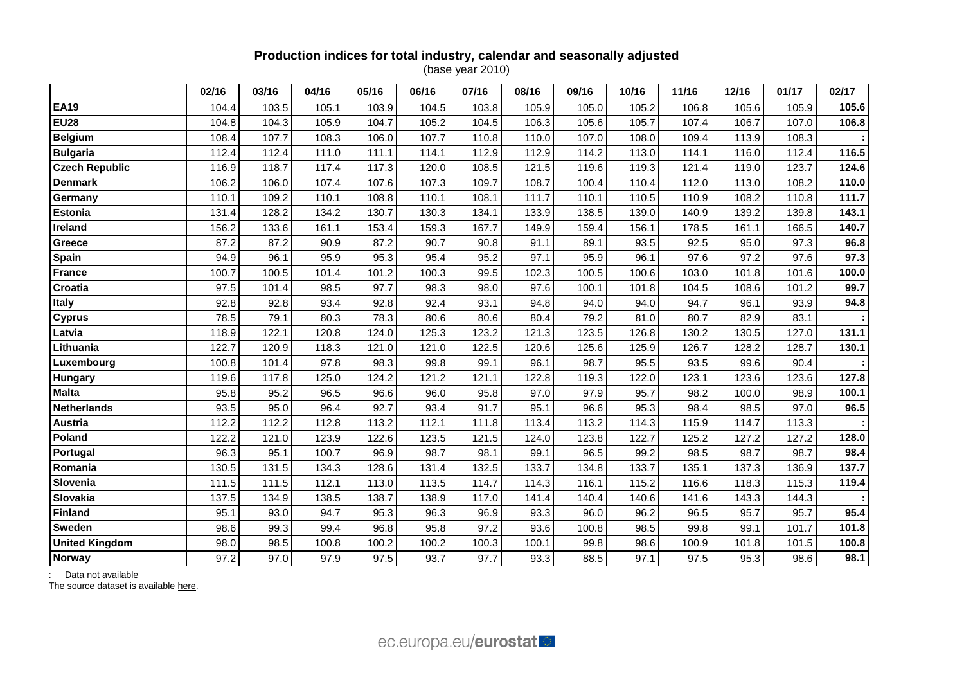### **Production indices for total industry, calendar and seasonally adjusted** (base year 2010)

|                       | 02/16 | 03/16 | 04/16 | 05/16 | 06/16 | 07/16 | 08/16 | 09/16 | 10/16 | 11/16 | 12/16 | 01/17 | 02/17 |
|-----------------------|-------|-------|-------|-------|-------|-------|-------|-------|-------|-------|-------|-------|-------|
| <b>EA19</b>           | 104.4 | 103.5 | 105.1 | 103.9 | 104.5 | 103.8 | 105.9 | 105.0 | 105.2 | 106.8 | 105.6 | 105.9 | 105.6 |
| <b>EU28</b>           | 104.8 | 104.3 | 105.9 | 104.7 | 105.2 | 104.5 | 106.3 | 105.6 | 105.7 | 107.4 | 106.7 | 107.0 | 106.8 |
| <b>Belgium</b>        | 108.4 | 107.7 | 108.3 | 106.0 | 107.7 | 110.8 | 110.0 | 107.0 | 108.0 | 109.4 | 113.9 | 108.3 |       |
| <b>Bulgaria</b>       | 112.4 | 112.4 | 111.0 | 111.1 | 114.1 | 112.9 | 112.9 | 114.2 | 113.0 | 114.1 | 116.0 | 112.4 | 116.5 |
| <b>Czech Republic</b> | 116.9 | 118.7 | 117.4 | 117.3 | 120.0 | 108.5 | 121.5 | 119.6 | 119.3 | 121.4 | 119.0 | 123.7 | 124.6 |
| <b>Denmark</b>        | 106.2 | 106.0 | 107.4 | 107.6 | 107.3 | 109.7 | 108.7 | 100.4 | 110.4 | 112.0 | 113.0 | 108.2 | 110.0 |
| Germany               | 110.1 | 109.2 | 110.1 | 108.8 | 110.1 | 108.1 | 111.7 | 110.1 | 110.5 | 110.9 | 108.2 | 110.8 | 111.7 |
| <b>Estonia</b>        | 131.4 | 128.2 | 134.2 | 130.7 | 130.3 | 134.1 | 133.9 | 138.5 | 139.0 | 140.9 | 139.2 | 139.8 | 143.1 |
| Ireland               | 156.2 | 133.6 | 161.1 | 153.4 | 159.3 | 167.7 | 149.9 | 159.4 | 156.1 | 178.5 | 161.1 | 166.5 | 140.7 |
| Greece                | 87.2  | 87.2  | 90.9  | 87.2  | 90.7  | 90.8  | 91.1  | 89.1  | 93.5  | 92.5  | 95.0  | 97.3  | 96.8  |
| Spain                 | 94.9  | 96.1  | 95.9  | 95.3  | 95.4  | 95.2  | 97.1  | 95.9  | 96.1  | 97.6  | 97.2  | 97.6  | 97.3  |
| <b>France</b>         | 100.7 | 100.5 | 101.4 | 101.2 | 100.3 | 99.5  | 102.3 | 100.5 | 100.6 | 103.0 | 101.8 | 101.6 | 100.0 |
| Croatia               | 97.5  | 101.4 | 98.5  | 97.7  | 98.3  | 98.0  | 97.6  | 100.1 | 101.8 | 104.5 | 108.6 | 101.2 | 99.7  |
| <b>Italy</b>          | 92.8  | 92.8  | 93.4  | 92.8  | 92.4  | 93.1  | 94.8  | 94.0  | 94.0  | 94.7  | 96.1  | 93.9  | 94.8  |
| <b>Cyprus</b>         | 78.5  | 79.1  | 80.3  | 78.3  | 80.6  | 80.6  | 80.4  | 79.2  | 81.0  | 80.7  | 82.9  | 83.1  |       |
| Latvia                | 118.9 | 122.1 | 120.8 | 124.0 | 125.3 | 123.2 | 121.3 | 123.5 | 126.8 | 130.2 | 130.5 | 127.0 | 131.1 |
| Lithuania             | 122.7 | 120.9 | 118.3 | 121.0 | 121.0 | 122.5 | 120.6 | 125.6 | 125.9 | 126.7 | 128.2 | 128.7 | 130.1 |
| Luxembourg            | 100.8 | 101.4 | 97.8  | 98.3  | 99.8  | 99.1  | 96.1  | 98.7  | 95.5  | 93.5  | 99.6  | 90.4  |       |
| Hungary               | 119.6 | 117.8 | 125.0 | 124.2 | 121.2 | 121.1 | 122.8 | 119.3 | 122.0 | 123.1 | 123.6 | 123.6 | 127.8 |
| <b>Malta</b>          | 95.8  | 95.2  | 96.5  | 96.6  | 96.0  | 95.8  | 97.0  | 97.9  | 95.7  | 98.2  | 100.0 | 98.9  | 100.1 |
| <b>Netherlands</b>    | 93.5  | 95.0  | 96.4  | 92.7  | 93.4  | 91.7  | 95.1  | 96.6  | 95.3  | 98.4  | 98.5  | 97.0  | 96.5  |
| <b>Austria</b>        | 112.2 | 112.2 | 112.8 | 113.2 | 112.1 | 111.8 | 113.4 | 113.2 | 114.3 | 115.9 | 114.7 | 113.3 |       |
| Poland                | 122.2 | 121.0 | 123.9 | 122.6 | 123.5 | 121.5 | 124.0 | 123.8 | 122.7 | 125.2 | 127.2 | 127.2 | 128.0 |
| Portugal              | 96.3  | 95.1  | 100.7 | 96.9  | 98.7  | 98.1  | 99.1  | 96.5  | 99.2  | 98.5  | 98.7  | 98.7  | 98.4  |
| Romania               | 130.5 | 131.5 | 134.3 | 128.6 | 131.4 | 132.5 | 133.7 | 134.8 | 133.7 | 135.1 | 137.3 | 136.9 | 137.7 |
| Slovenia              | 111.5 | 111.5 | 112.1 | 113.0 | 113.5 | 114.7 | 114.3 | 116.1 | 115.2 | 116.6 | 118.3 | 115.3 | 119.4 |
| Slovakia              | 137.5 | 134.9 | 138.5 | 138.7 | 138.9 | 117.0 | 141.4 | 140.4 | 140.6 | 141.6 | 143.3 | 144.3 |       |
| <b>Finland</b>        | 95.1  | 93.0  | 94.7  | 95.3  | 96.3  | 96.9  | 93.3  | 96.0  | 96.2  | 96.5  | 95.7  | 95.7  | 95.4  |
| <b>Sweden</b>         | 98.6  | 99.3  | 99.4  | 96.8  | 95.8  | 97.2  | 93.6  | 100.8 | 98.5  | 99.8  | 99.1  | 101.7 | 101.8 |
| <b>United Kingdom</b> | 98.0  | 98.5  | 100.8 | 100.2 | 100.2 | 100.3 | 100.1 | 99.8  | 98.6  | 100.9 | 101.8 | 101.5 | 100.8 |
| <b>Norway</b>         | 97.2  | 97.0  | 97.9  | 97.5  | 93.7  | 97.7  | 93.3  | 88.5  | 97.1  | 97.5  | 95.3  | 98.6  | 98.1  |

: Data not available